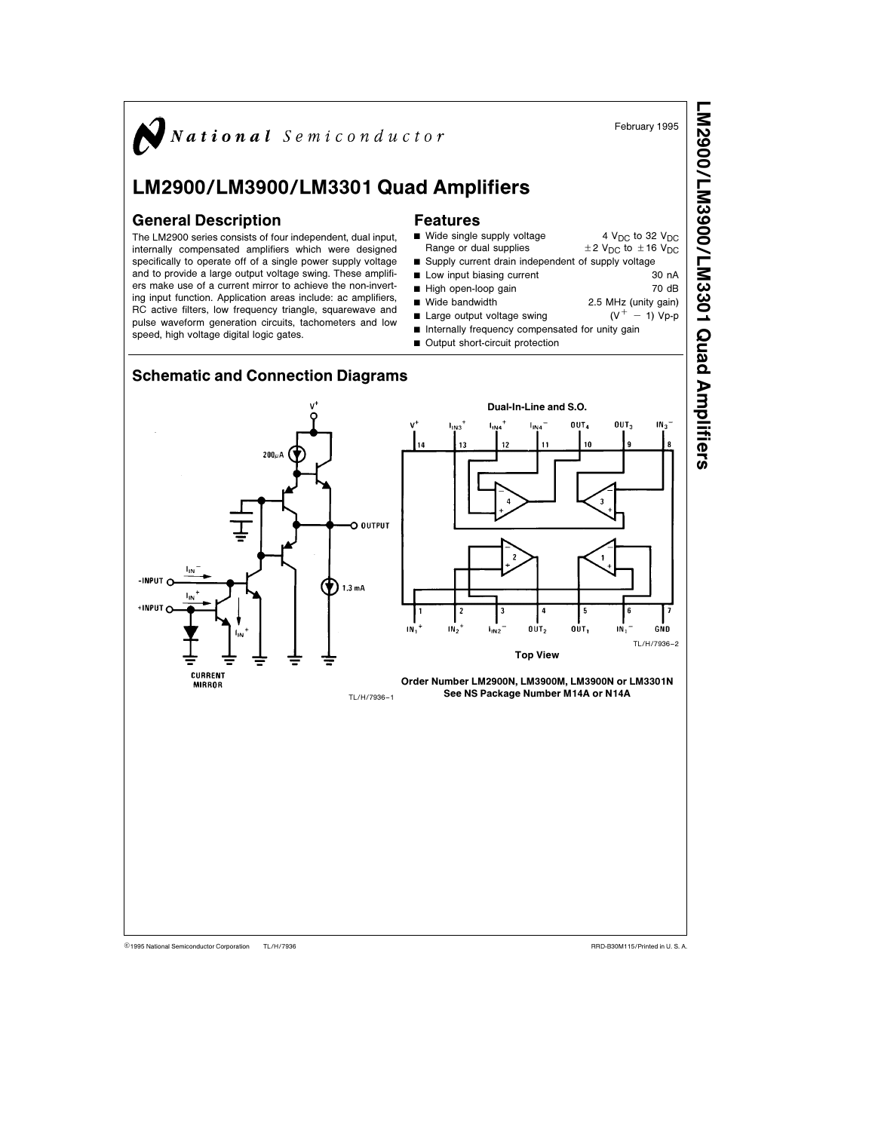

LM2900/LM3900/LM3301 Quad Amplifiers

TL/H/7936 C1995 National Semiconductor Corporation TL/H/7936 National Semiconductor Corporation RRD-B30M115/Printed in U. S. A.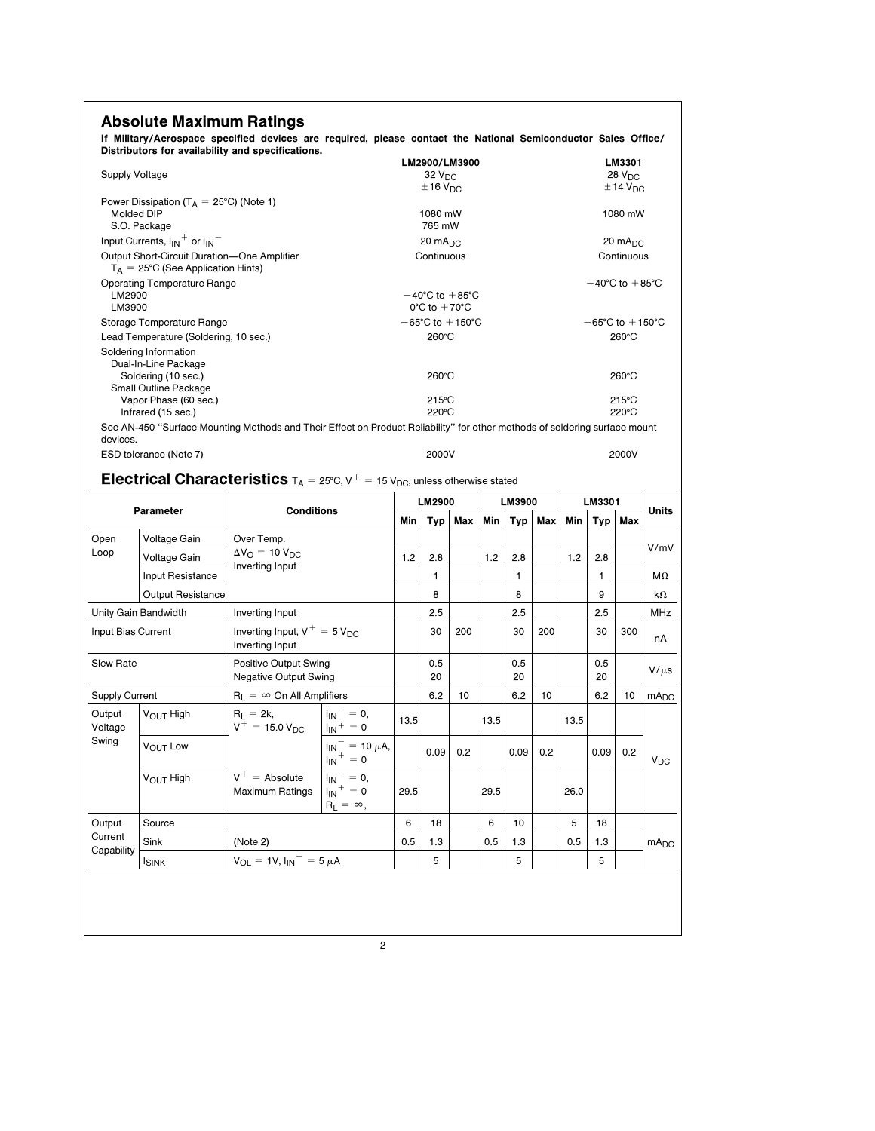|                                                                                                      | <b>Absolute Maximum Ratings</b>                                                                                                                                    |                                                       |                                                            |                                                                        |            |     |        |           |                                                       |                                     |           |     |                  |  |
|------------------------------------------------------------------------------------------------------|--------------------------------------------------------------------------------------------------------------------------------------------------------------------|-------------------------------------------------------|------------------------------------------------------------|------------------------------------------------------------------------|------------|-----|--------|-----------|-------------------------------------------------------|-------------------------------------|-----------|-----|------------------|--|
|                                                                                                      | If Military/Aerospace specified devices are required, please contact the National Semiconductor Sales Office/<br>Distributors for availability and specifications. |                                                       |                                                            |                                                                        |            |     |        |           |                                                       |                                     |           |     |                  |  |
| <b>Supply Voltage</b>                                                                                |                                                                                                                                                                    |                                                       | LM2900/LM3900<br>32V <sub>DC</sub><br>± 16 V <sub>DC</sub> |                                                                        |            |     |        |           | LM3301<br>28 V <sub>DC</sub><br>$±14$ V <sub>DC</sub> |                                     |           |     |                  |  |
| Power Dissipation ( $T_A = 25^{\circ}$ C) (Note 1)<br>Molded DIP                                     |                                                                                                                                                                    |                                                       | 1080 mW                                                    |                                                                        |            |     |        |           | 1080 mW                                               |                                     |           |     |                  |  |
| S.O. Package<br>Input Currents, $I_{IN}$ <sup>+</sup> or $I_{IN}$ <sup>-</sup>                       |                                                                                                                                                                    |                                                       |                                                            | 765 mW                                                                 |            |     |        |           |                                                       |                                     |           |     |                  |  |
| Output Short-Circuit Duration-One Amplifier<br>$T_A = 25^{\circ}$ C (See Application Hints)          |                                                                                                                                                                    |                                                       |                                                            | $20 \text{ mA}$ DC<br>Continuous                                       |            |     |        |           |                                                       | $20 \text{ mA}$ DC<br>Continuous    |           |     |                  |  |
| <b>Operating Temperature Range</b><br>LM2900<br>LM3900                                               |                                                                                                                                                                    |                                                       |                                                            | $-40^{\circ}$ C to $+85^{\circ}$ C<br>$0^{\circ}$ C to $+70^{\circ}$ C |            |     |        |           |                                                       | $-40^{\circ}$ C to $+85^{\circ}$ C  |           |     |                  |  |
| Storage Temperature Range                                                                            |                                                                                                                                                                    |                                                       |                                                            | $-65^{\circ}$ C to $+150^{\circ}$ C                                    |            |     |        |           |                                                       | $-65^{\circ}$ C to $+150^{\circ}$ C |           |     |                  |  |
| Lead Temperature (Soldering, 10 sec.)                                                                |                                                                                                                                                                    |                                                       |                                                            | 260°C                                                                  |            |     |        |           |                                                       | 260°C                               |           |     |                  |  |
| Soldering Information<br>Dual-In-Line Package<br>Soldering (10 sec.)<br><b>Small Outline Package</b> |                                                                                                                                                                    |                                                       |                                                            | $260^{\circ}$ C                                                        |            |     |        |           |                                                       | $260^{\circ}$ C                     |           |     |                  |  |
| Vapor Phase (60 sec.)<br>Infrared (15 sec.)                                                          |                                                                                                                                                                    |                                                       |                                                            | $215^{\circ}$ C<br>220°C                                               |            |     |        |           | $215^{\circ}$ C<br>$220^{\circ}$ C                    |                                     |           |     |                  |  |
| devices.                                                                                             | See AN-450 "Surface Mounting Methods and Their Effect on Product Reliability" for other methods of soldering surface mount                                         |                                                       |                                                            |                                                                        |            |     |        |           |                                                       |                                     |           |     |                  |  |
| ESD tolerance (Note 7)                                                                               |                                                                                                                                                                    |                                                       |                                                            | 2000V                                                                  |            |     |        |           |                                                       | 2000V                               |           |     |                  |  |
|                                                                                                      | <b>Electrical Characteristics</b> $T_A = 25^{\circ}C$ , $V^+ = 15 V_{DC}$ , unless otherwise stated                                                                |                                                       |                                                            |                                                                        |            |     |        |           |                                                       |                                     |           |     |                  |  |
|                                                                                                      | Parameter                                                                                                                                                          | <b>Conditions</b>                                     |                                                            | <b>LM2900</b>                                                          |            |     | LM3900 |           |                                                       | LM3301                              |           |     | Units            |  |
|                                                                                                      |                                                                                                                                                                    |                                                       |                                                            | Min                                                                    | <b>Typ</b> | Max | Min    | Typ       | Max                                                   | Min                                 | Typ       | Max |                  |  |
| Open                                                                                                 | Voltage Gain                                                                                                                                                       | Over Temp.                                            |                                                            |                                                                        |            |     |        |           |                                                       |                                     |           |     | V/mV             |  |
| Loop                                                                                                 | Voltage Gain                                                                                                                                                       | $\Delta V_{\Omega} = 10 V_{\text{DC}}$                |                                                            | 1.2                                                                    | 2.8        |     | 1.2    | 2.8       |                                                       | 1.2                                 | 2.8       |     |                  |  |
|                                                                                                      | Input Resistance                                                                                                                                                   | Inverting Input                                       |                                                            | 1                                                                      |            |     | 1      |           |                                                       | 1                                   |           | МΩ  |                  |  |
|                                                                                                      | <b>Output Resistance</b>                                                                                                                                           |                                                       |                                                            |                                                                        | 8          |     |        | 8         |                                                       |                                     | 9         |     | $k\Omega$        |  |
| Unity Gain Bandwidth                                                                                 |                                                                                                                                                                    | Inverting Input                                       |                                                            |                                                                        | 2.5        |     |        | 2.5       |                                                       |                                     | 2.5       |     | MHz              |  |
| Input Bias Current                                                                                   |                                                                                                                                                                    | Inverting Input, $V^+ = 5 V_{DC}$<br>Inverting Input  |                                                            |                                                                        | 30         | 200 |        | 30        | 200                                                   |                                     | 30        | 300 | nA               |  |
| <b>Slew Rate</b>                                                                                     |                                                                                                                                                                    | Positive Output Swing<br><b>Negative Output Swing</b> |                                                            |                                                                        | 0.5<br>20  |     |        | 0.5<br>20 |                                                       |                                     | 0.5<br>20 |     | $V/\mu s$        |  |
| <b>Supply Current</b>                                                                                |                                                                                                                                                                    | $R_L = \infty$ On All Amplifiers                      |                                                            |                                                                        | 6.2        | 10  |        | 6.2       | 10                                                    |                                     | 6.2       | 10  | mA <sub>DC</sub> |  |
| Output<br>Voltage                                                                                    | V <sub>OUT</sub> High                                                                                                                                              | $R_1 = 2k$ ,<br>$V^+ = 15.0 V_{DC}$                   | $I_{\mid N}^{\mathstrut -} = 0,$<br>$I_{IN}$ + = 0         | 13.5                                                                   |            |     | 13.5   |           |                                                       | 13.5                                |           |     |                  |  |
| Swing                                                                                                | VOUT LOW                                                                                                                                                           |                                                       | $I_{IN}$ <sup>-</sup> = 10 $\mu$ A,<br>$I_{IN}^+ = 0$      |                                                                        | 0.09       | 0.2 |        | 0.09      | 0.2                                                   |                                     | 0.09      | 0.2 | $V_{DC}$         |  |
|                                                                                                      | V <sub>OUT</sub> High                                                                                                                                              | $V^+$ = Absolute<br><b>Maximum Ratings</b>            | $I_{IN}$ = 0,<br>$I_{IN}^+ = 0$                            | 29.5                                                                   |            |     | 29.5   |           |                                                       | 26.0                                |           |     |                  |  |

Current Sink (Note 2) 0.5 1.3 0.5 1.3 0.5 1.3 mADC Capability ISINK  $V_{OL} = 1V$ ,  $I_{IN}^- = 5 \mu A$  5 5

 $R_L = \infty$ , Output Source | | 6 | 18 | | 6 | 10 | | 5 | 18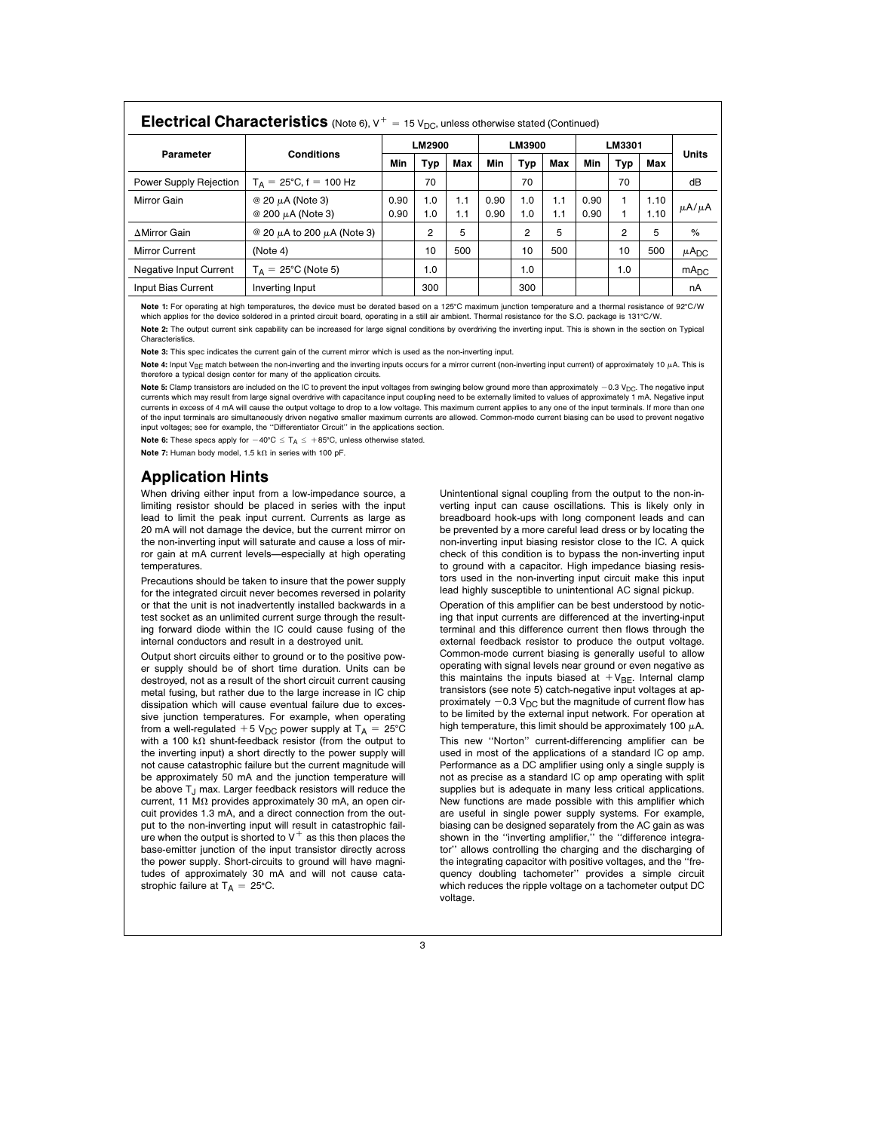|                        | <b>Conditions</b>                               | LM2900       |            |            | LM3900       |            |            | LM3301       |     |              |                  |
|------------------------|-------------------------------------------------|--------------|------------|------------|--------------|------------|------------|--------------|-----|--------------|------------------|
| Parameter              |                                                 | Min          | Typ        | Max        | Min          | Typ        | Max        | Min          | Typ | Max          | <b>Units</b>     |
| Power Supply Rejection | $T_A = 25^{\circ}$ C, f = 100 Hz                |              | 70         |            |              | 70         |            |              | 70  |              | dB               |
| Mirror Gain            | $@ 20 \mu A$ (Note 3)<br>@ 200 $\mu$ A (Note 3) | 0.90<br>0.90 | 1.0<br>1.0 | 1.1<br>1.1 | 0.90<br>0.90 | 1.0<br>1.0 | 1.1<br>1.1 | 0.90<br>0.90 |     | 1.10<br>1.10 | $\mu$ A/ $\mu$ A |
| ∆Mirror Gain           | $\omega$ 20 $\mu$ A to 200 $\mu$ A (Note 3)     |              | 2          | 5          |              | 2          | 5          |              | 2   | 5            | $\%$             |
| <b>Mirror Current</b>  | (Note 4)                                        |              | 10         | 500        |              | 10         | 500        |              | 10  | 500          | $\mu A_{DC}$     |
| Negative Input Current | $T_A = 25^{\circ}$ C (Note 5)                   |              | 1.0        |            |              | 1.0        |            |              | 1.0 |              | mA <sub>DC</sub> |
| Input Bias Current     | Inverting Input                                 |              | 300        |            |              | 300        |            |              |     |              | nA               |

Note 1: For operating at high temperatures, the device must be derated based on a 125°C maximum junction temperature and a thermal resistance of 92°C/W which applies for the device soldered in a printed circuit board, operating in a still air ambient. Thermal resistance for the S.O. package is 131§C/W. Note 2: The output current sink capability can be increased for large signal conditions by overdriving the inverting input. This is shown in the section on Typical

Characteristics.

Note 3: This spec indicates the current gain of the current mirror which is used as the non-inverting input.

Note 4: Input V<sub>BE</sub> match between the non-inverting and the inverting inputs occurs for a mirror current (non-inverting input current) of approximately 10  $\mu$ A. This is therefore a typical design center for many of the application circuits.

Note 5: Clamp transistors are included on the IC to prevent the input voltages from swinging below ground more than approximately  $-0.3$  V<sub>DC</sub>. The negative input currents which may result from large signal overdrive with capacitance input coupling need to be externally limited to values of approximately 1 mA. Negative input currents in excess of 4 mA will cause the output voltage to drop to a low voltage. This maximum current applies to any one of the input terminals. If more than one of the input terminals are simultaneously driven negative smaller maximum currents are allowed. Common-mode current biasing can be used to prevent negative input voltages; see for example, the ''Differentiator Circuit'' in the applications section.

Note 6: These specs apply for  $-40^{\circ}\text{C} \leq T_A \leq +85^{\circ}\text{C}$ , unless otherwise stated.

Note 7: Human body model, 1.5 k $\Omega$  in series with 100 pF.

## Application Hints

When driving either input from a low-impedance source, a limiting resistor should be placed in series with the input lead to limit the peak input current. Currents as large as 20 mA will not damage the device, but the current mirror on the non-inverting input will saturate and cause a loss of mirror gain at mA current levels-especially at high operating temperatures.

Precautions should be taken to insure that the power supply for the integrated circuit never becomes reversed in polarity or that the unit is not inadvertently installed backwards in a test socket as an unlimited current surge through the resulting forward diode within the IC could cause fusing of the internal conductors and result in a destroyed unit.

Output short circuits either to ground or to the positive power supply should be of short time duration. Units can be destroyed, not as a result of the short circuit current causing metal fusing, but rather due to the large increase in IC chip dissipation which will cause eventual failure due to excessive junction temperatures. For example, when operating from a well-regulated +5 V<sub>DC</sub> power supply at  $T_A = 25^{\circ}C$ with a 100 k $\Omega$  shunt-feedback resistor (from the output to the inverting input) a short directly to the power supply will not cause catastrophic failure but the current magnitude will be approximately 50 mA and the junction temperature will be above T<sub>J</sub> max. Larger feedback resistors will reduce the current, 11 M $\Omega$  provides approximately 30 mA, an open circuit provides 1.3 mA, and a direct connection from the output to the non-inverting input will result in catastrophic failure when the output is shorted to  $V^+$  as this then places the base-emitter junction of the input transistor directly across the power supply. Short-circuits to ground will have magnitudes of approximately 30 mA and will not cause catastrophic failure at  $T_A = 25^{\circ}$ C.

Unintentional signal coupling from the output to the non-inverting input can cause oscillations. This is likely only in breadboard hook-ups with long component leads and can be prevented by a more careful lead dress or by locating the non-inverting input biasing resistor close to the IC. A quick check of this condition is to bypass the non-inverting input to ground with a capacitor. High impedance biasing resistors used in the non-inverting input circuit make this input lead highly susceptible to unintentional AC signal pickup.

Operation of this amplifier can be best understood by noticing that input currents are differenced at the inverting-input terminal and this difference current then flows through the external feedback resistor to produce the output voltage. Common-mode current biasing is generally useful to allow operating with signal levels near ground or even negative as this maintains the inputs biased at  $V_{BE}$ . Internal clamp transistors (see note 5) catch-negative input voltages at approximately  $-0.3$  V<sub>DC</sub> but the magnitude of current flow has to be limited by the external input network. For operation at high temperature, this limit should be approximately 100  $\mu$ A. This new ''Norton'' current-differencing amplifier can be

used in most of the applications of a standard IC op amp. Performance as a DC amplifier using only a single supply is not as precise as a standard IC op amp operating with split supplies but is adequate in many less critical applications. New functions are made possible with this amplifier which are useful in single power supply systems. For example, biasing can be designed separately from the AC gain as was shown in the ''inverting amplifier,'' the ''difference integrator'' allows controlling the charging and the discharging of the integrating capacitor with positive voltages, and the ''frequency doubling tachometer'' provides a simple circuit which reduces the ripple voltage on a tachometer output DC voltage.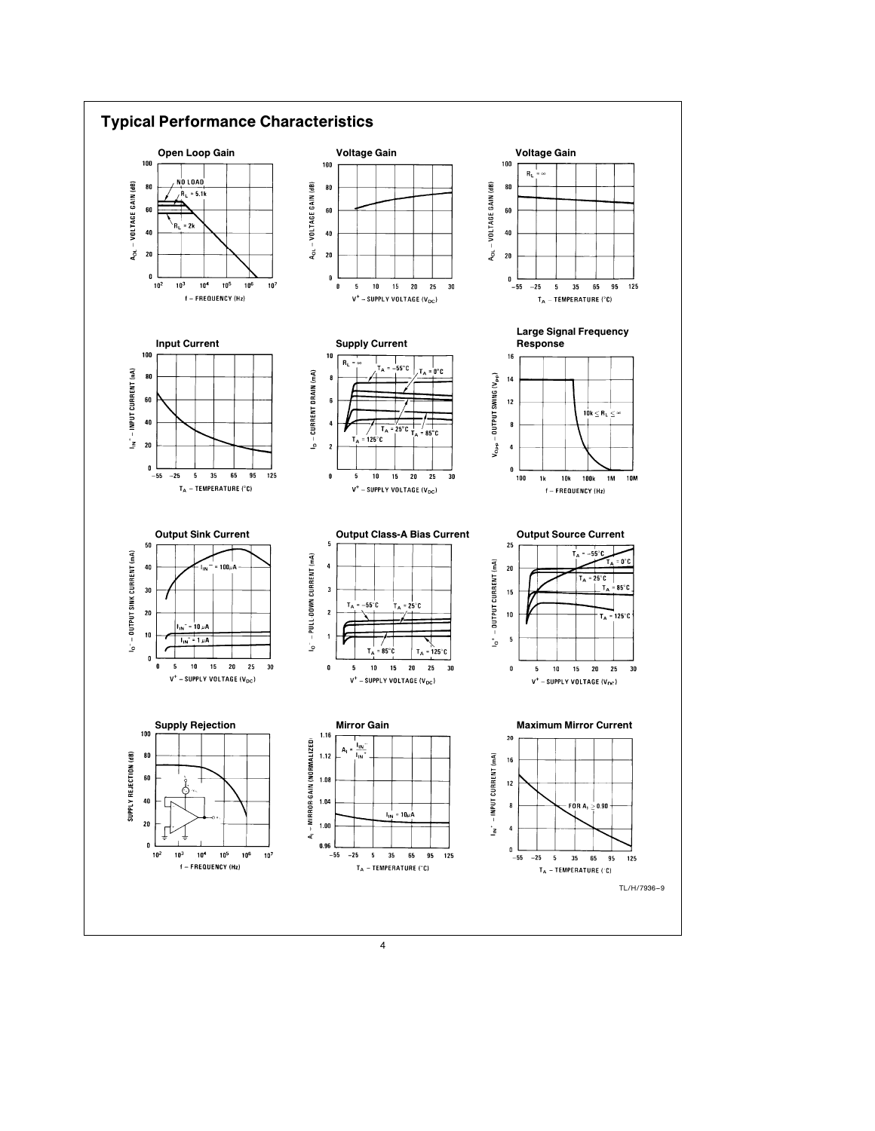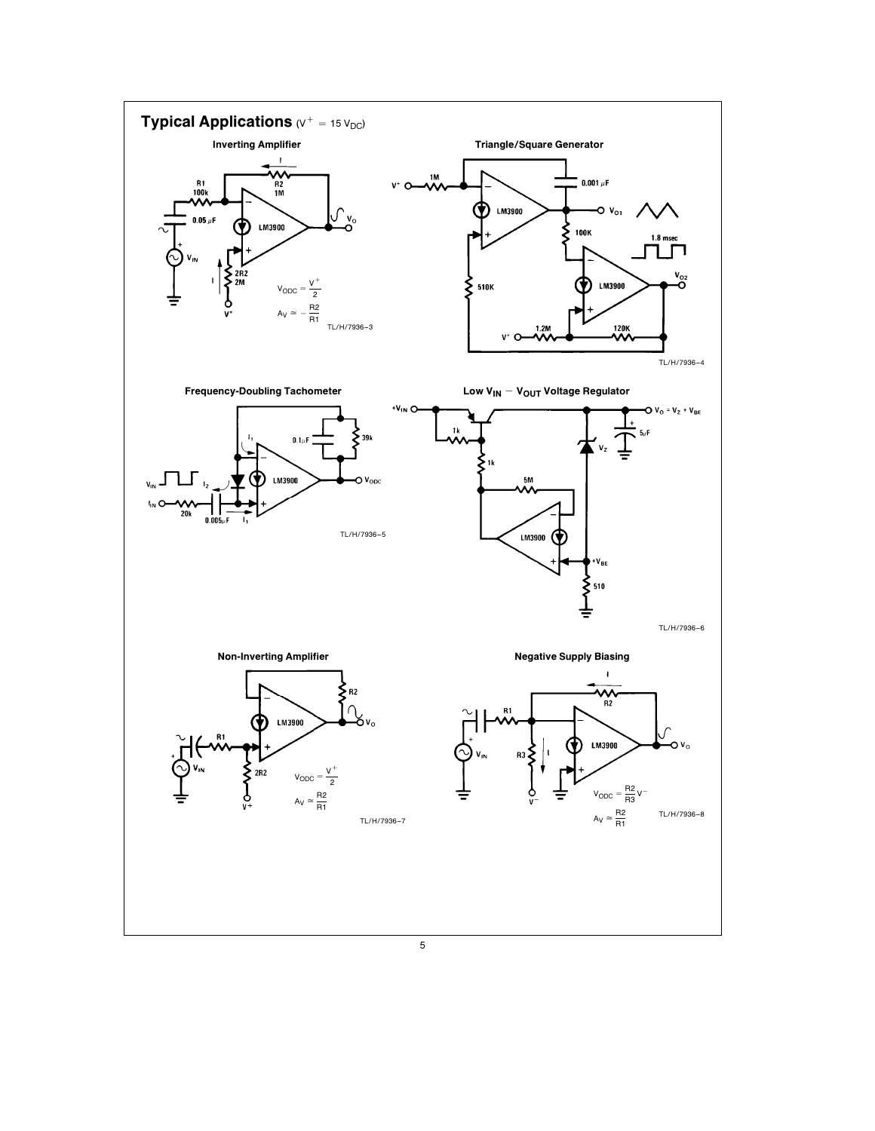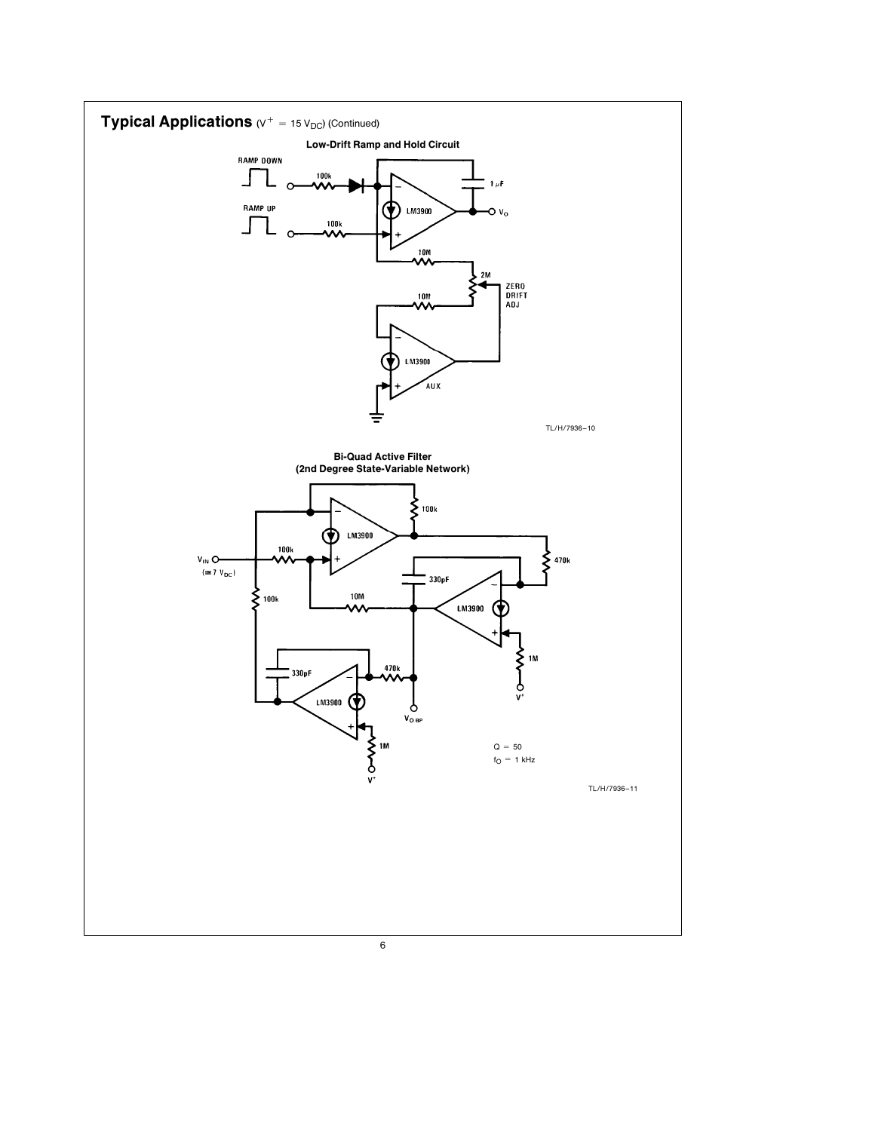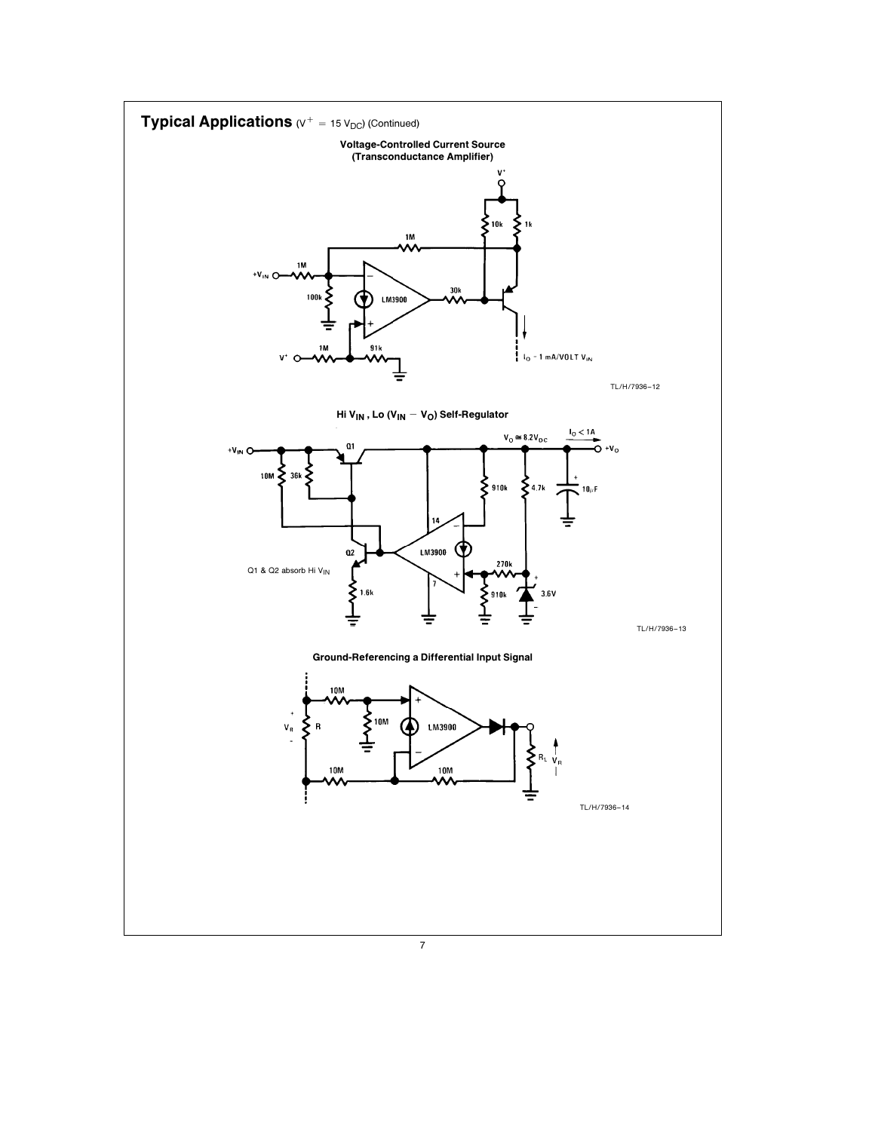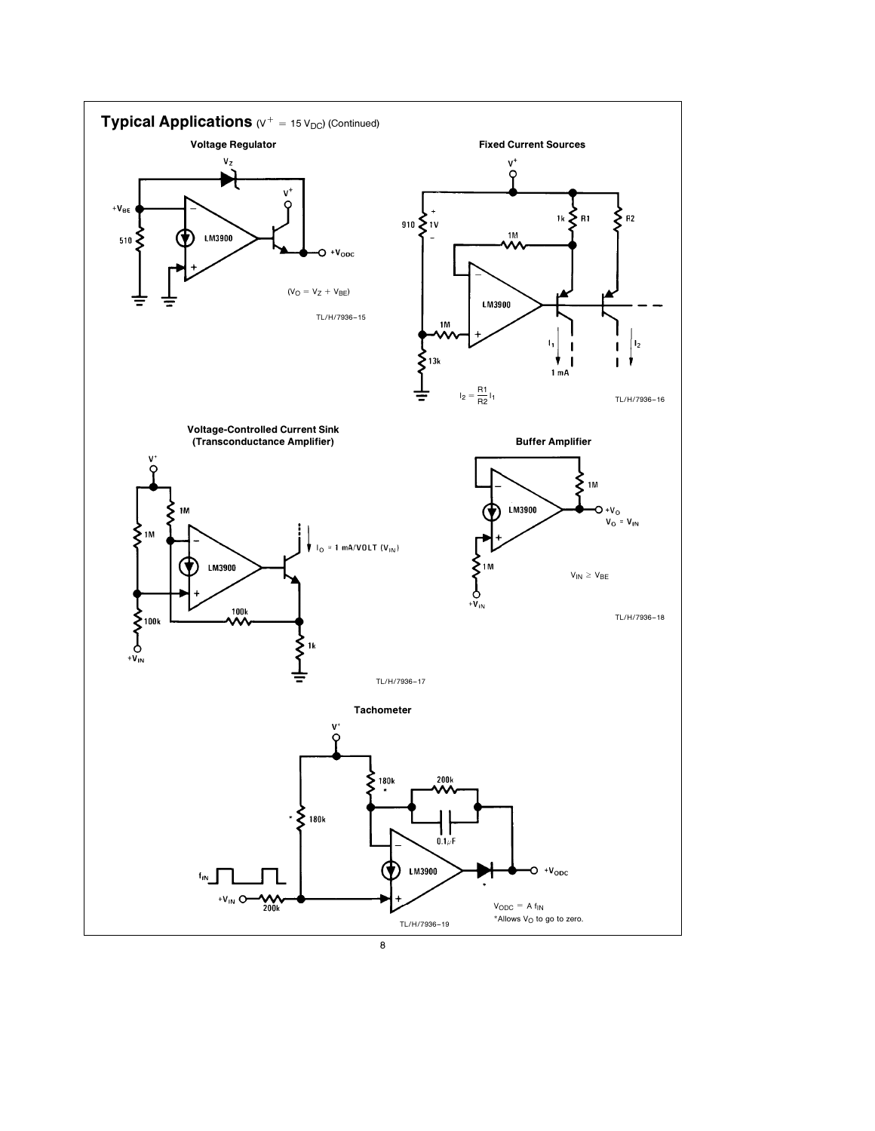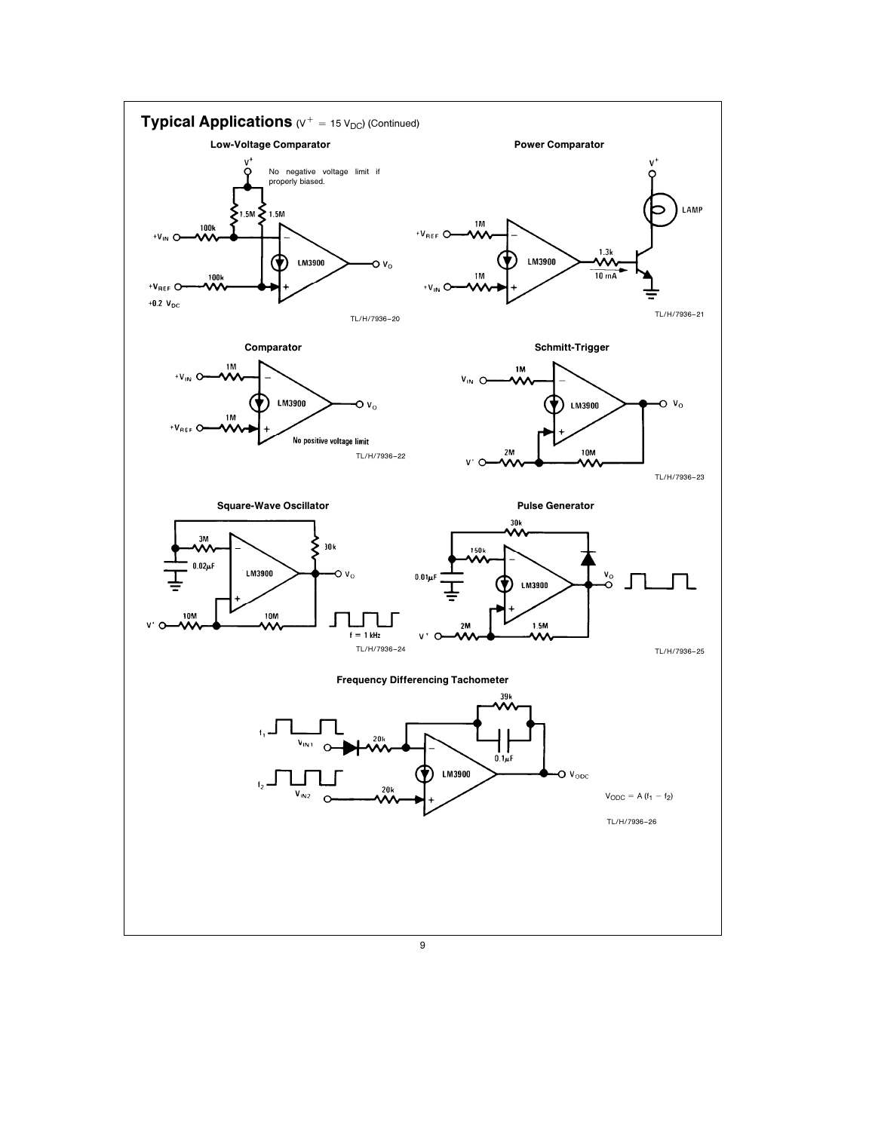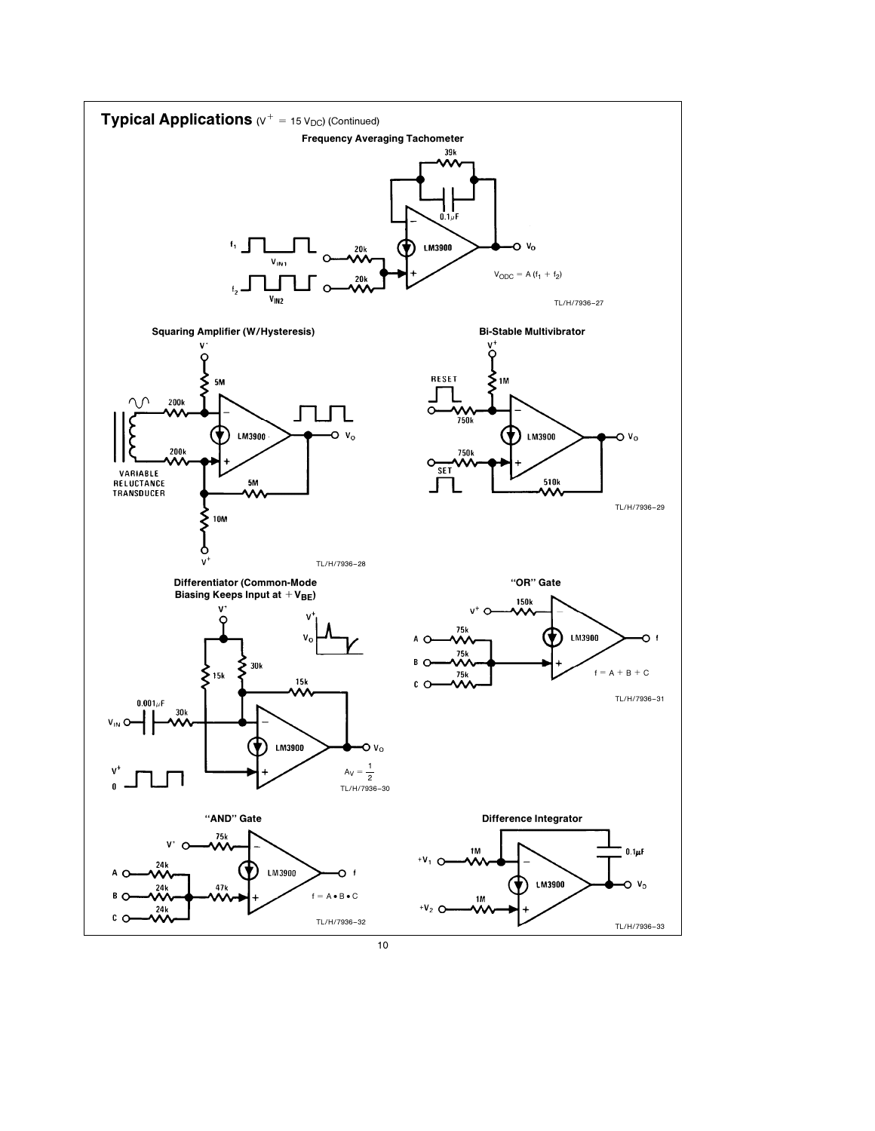

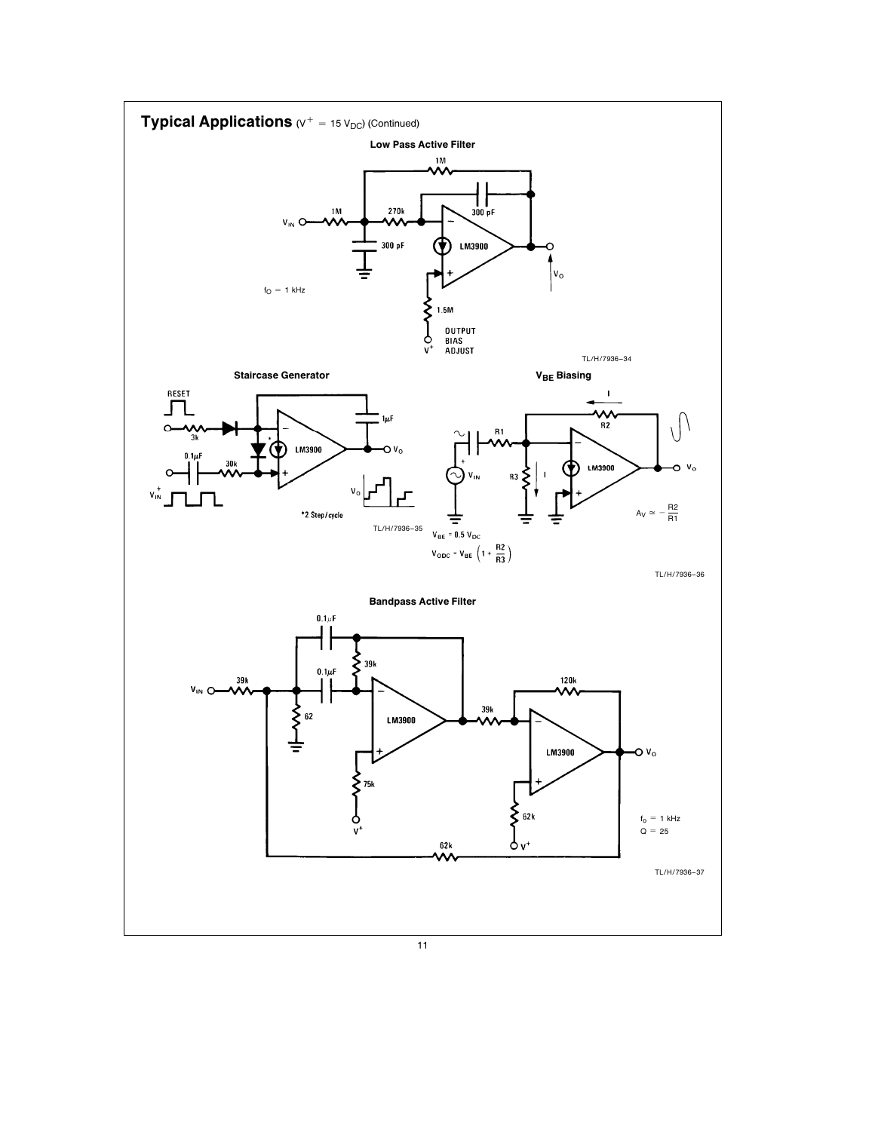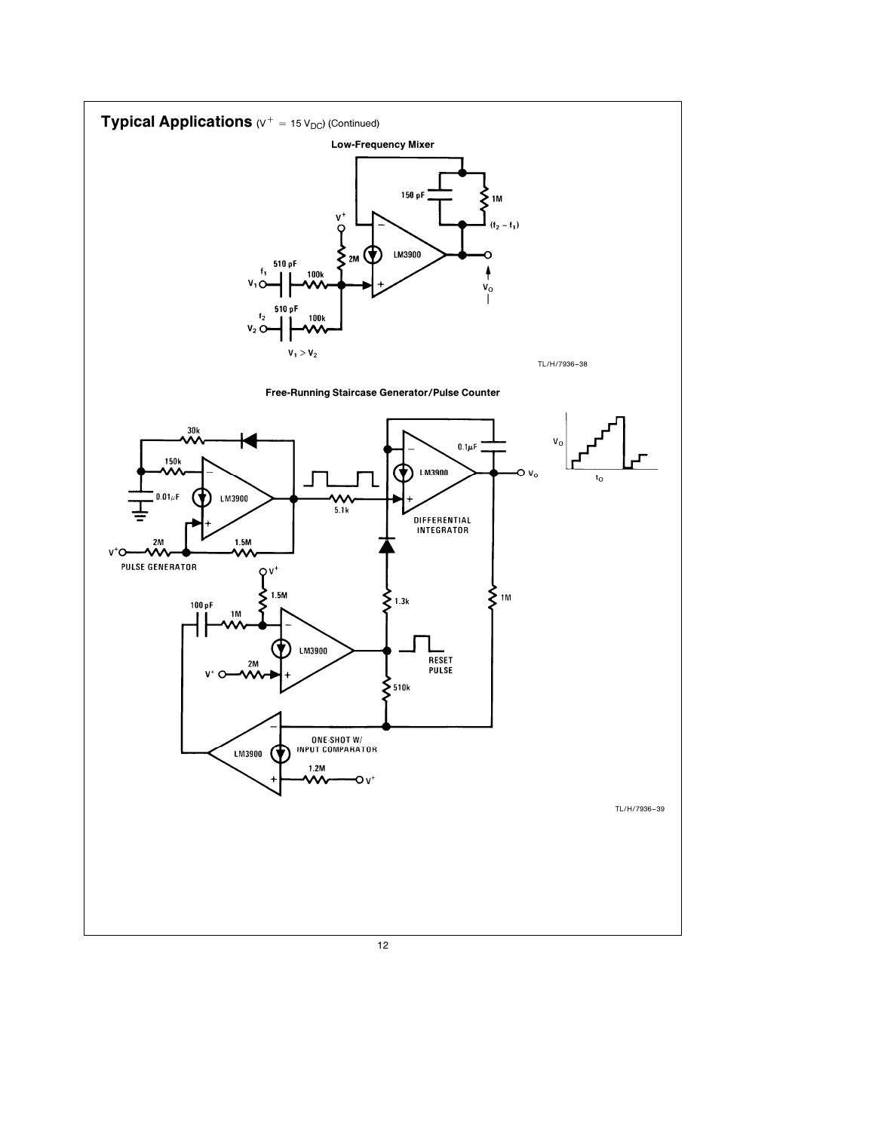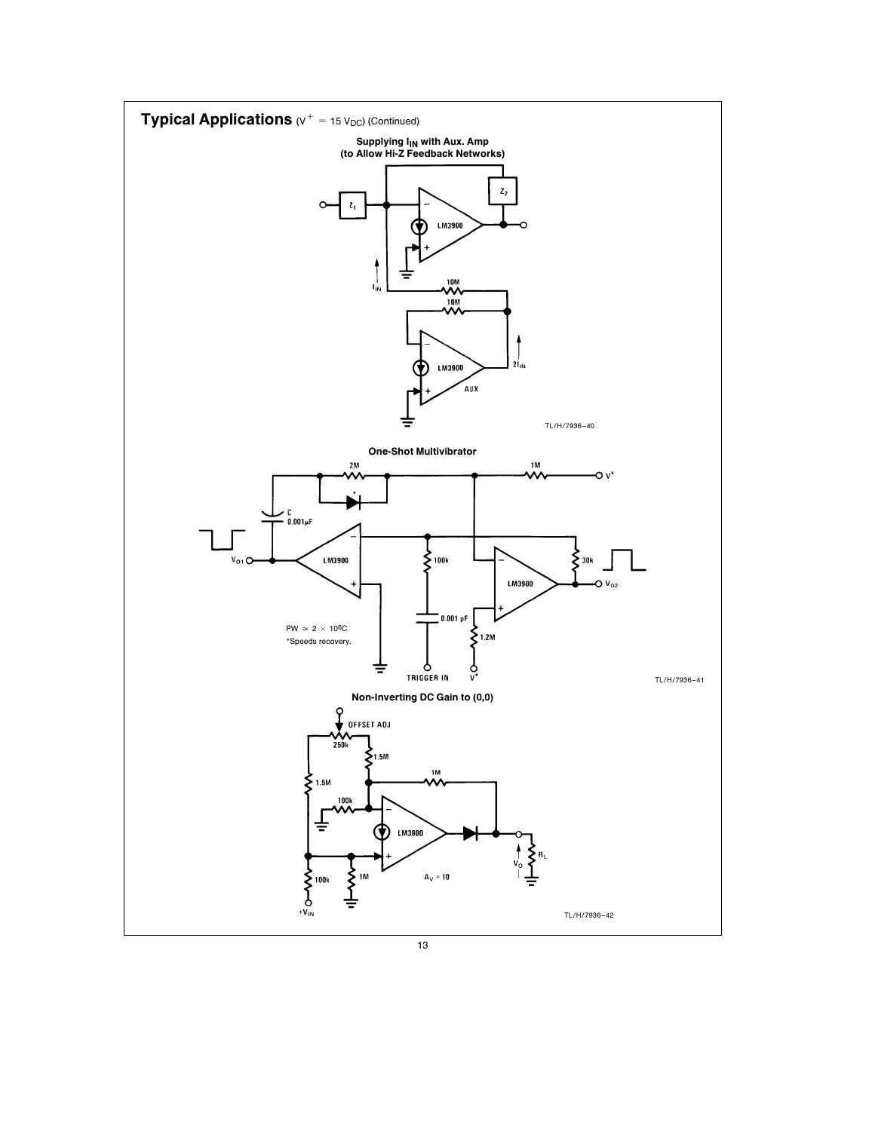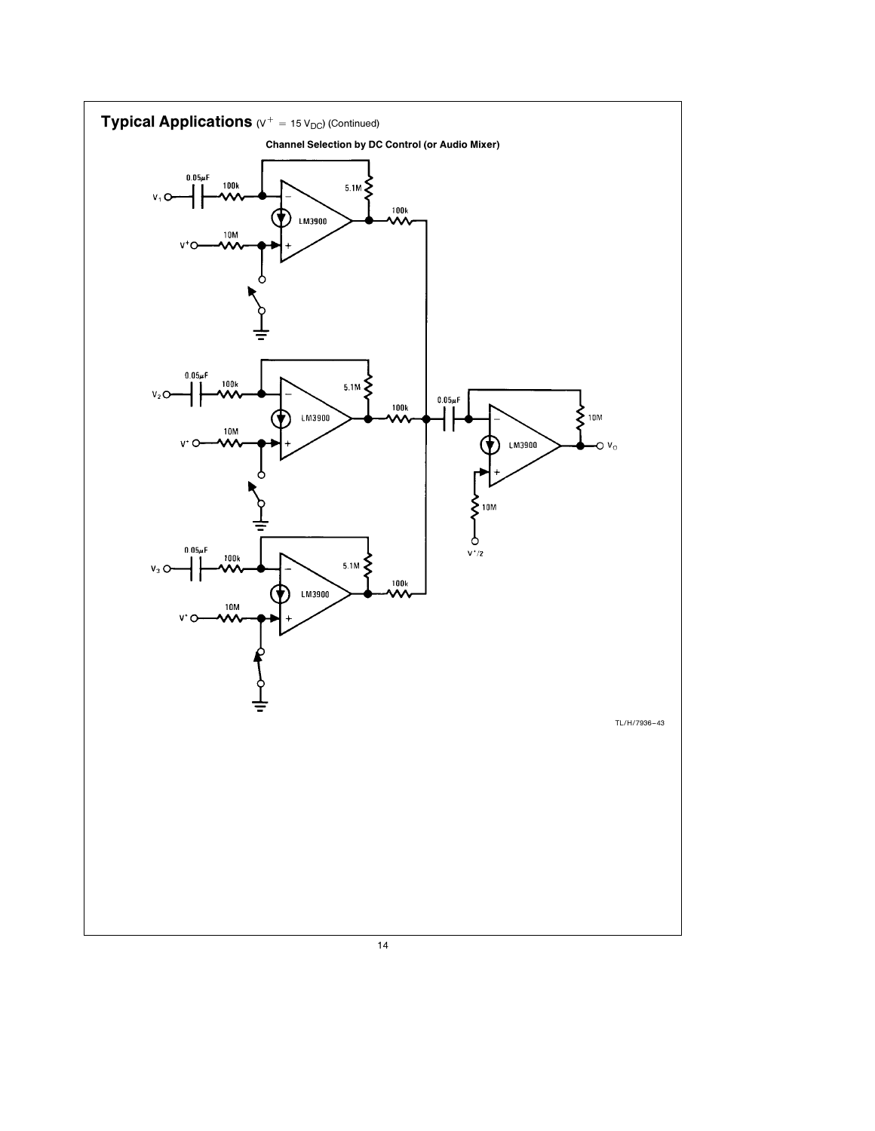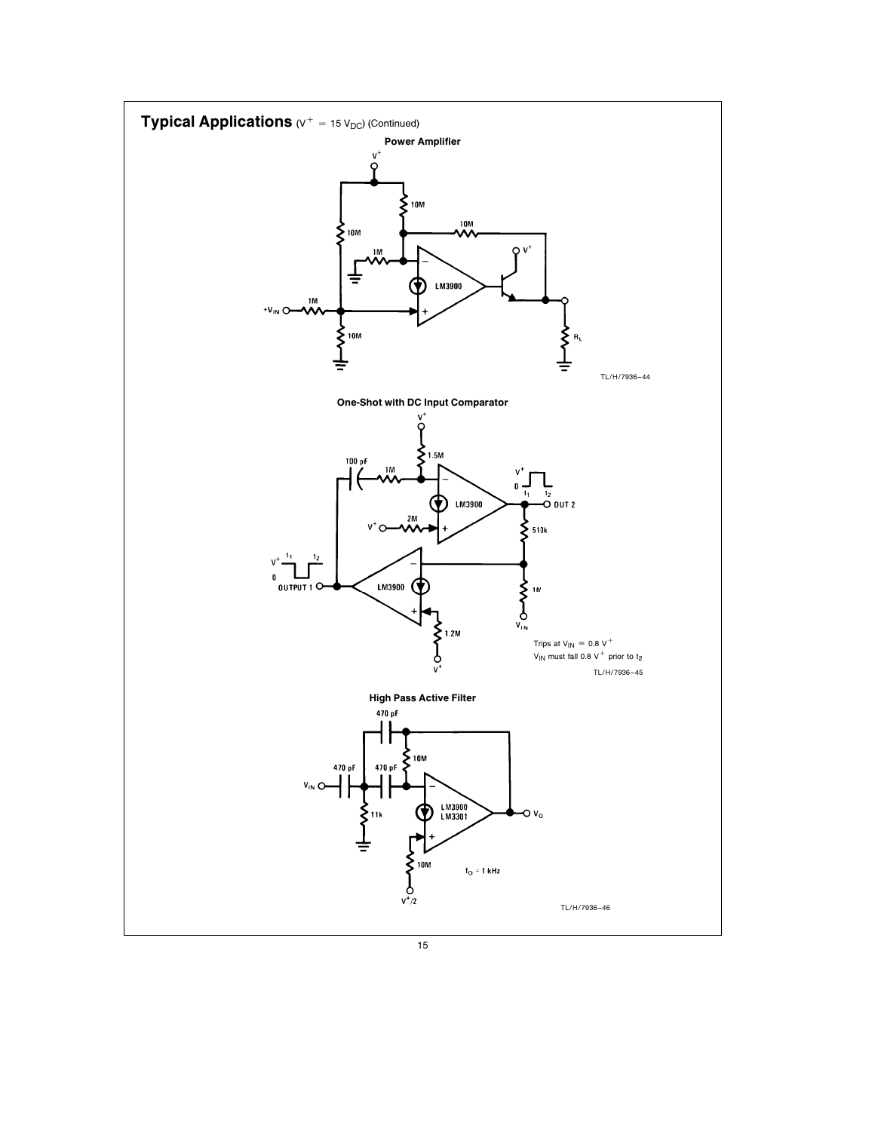

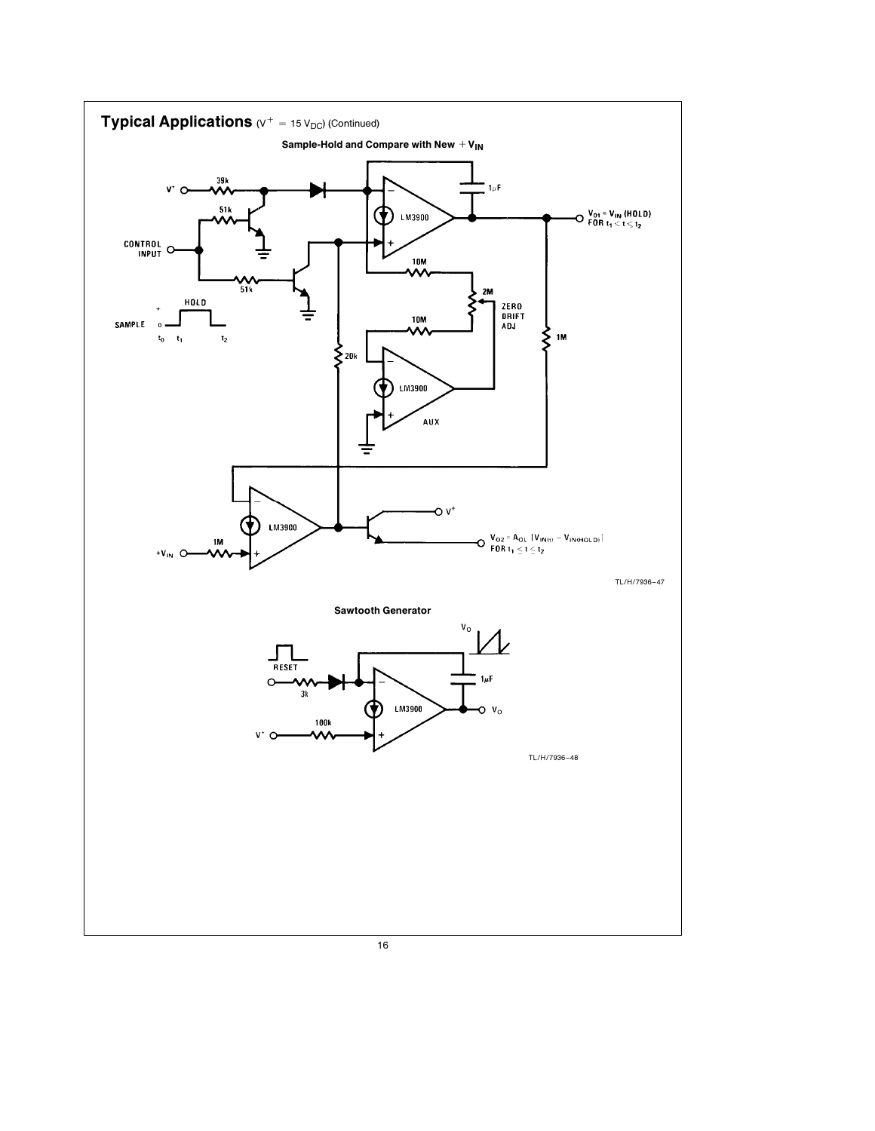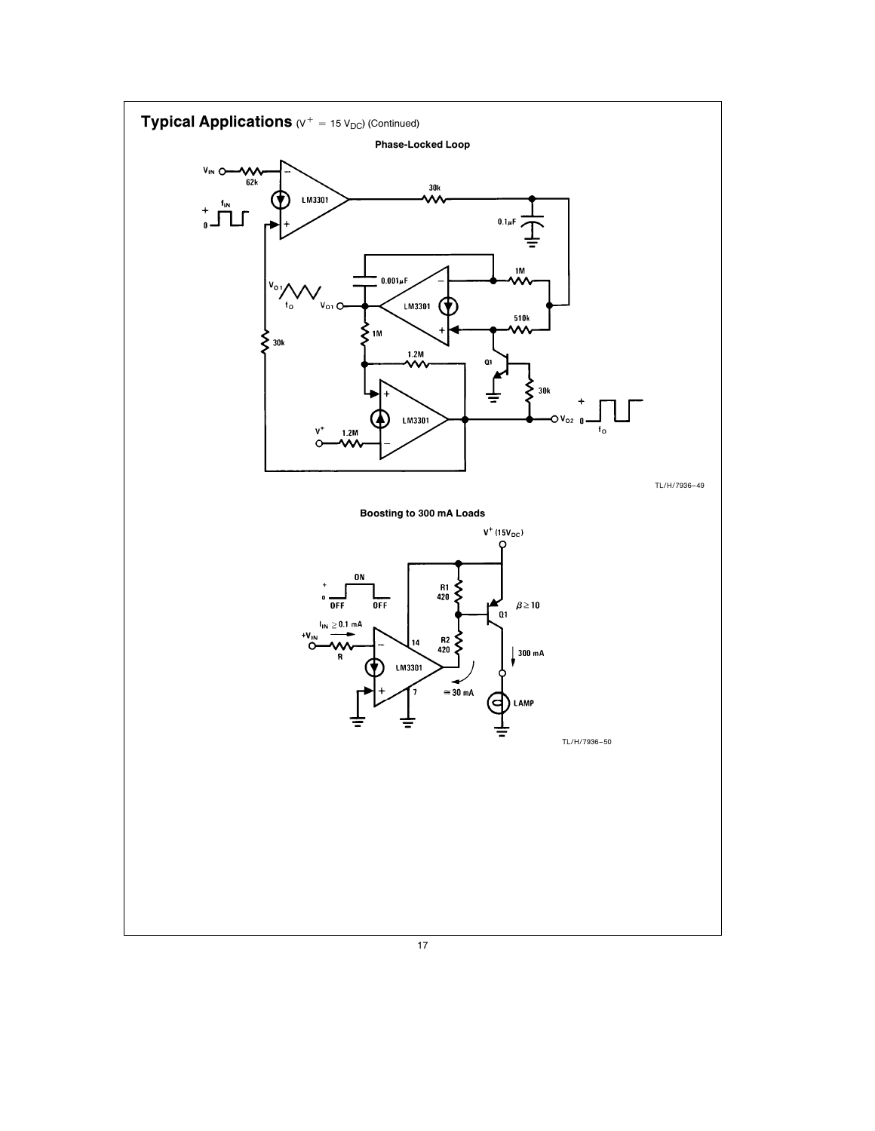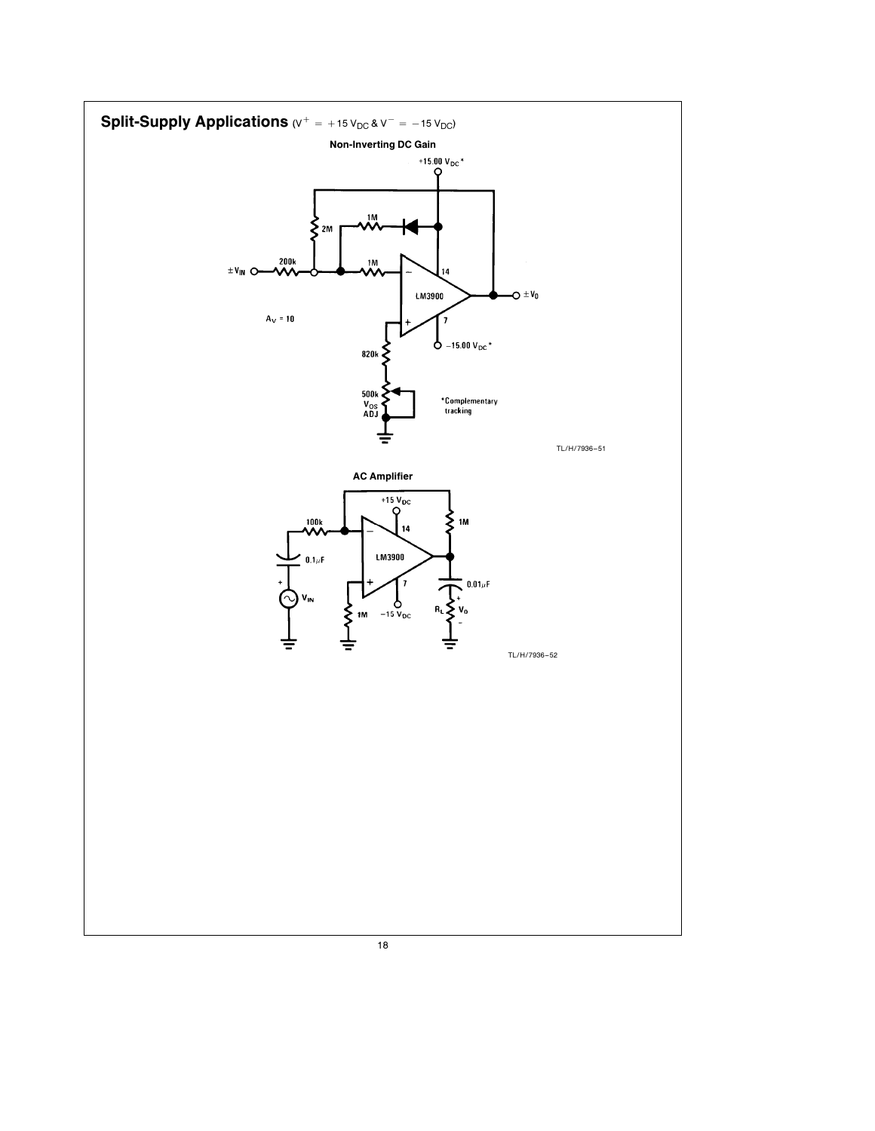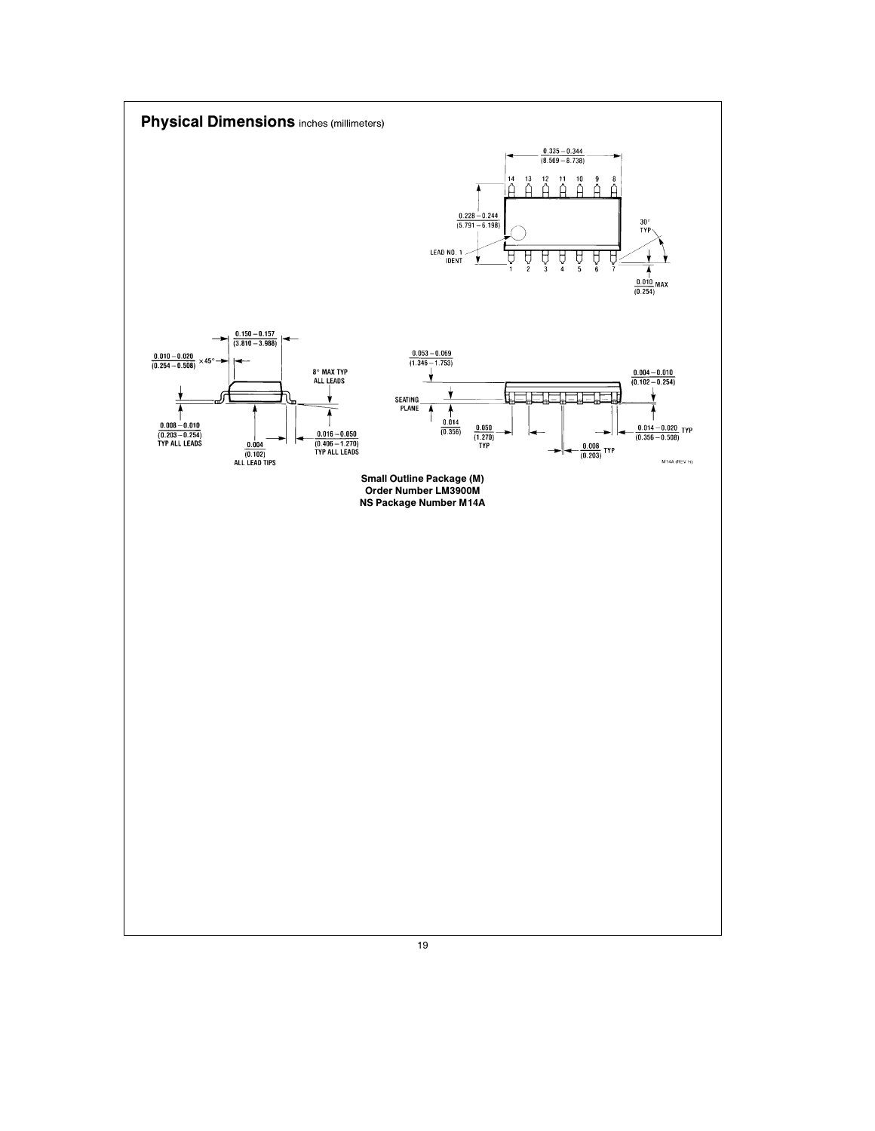